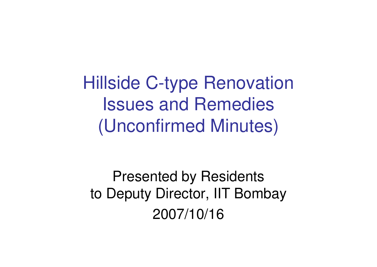Hillside C-type RenovationIssues and Remedies(Unconfirmed Minutes)

Presented by Residents to Deputy Director, IIT Bombay2007/10/16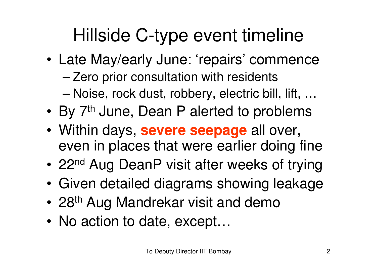## Hillside C-type event timeline

- • Late May/early June: 'repairs' commence
	- –Zero prior consultation with residents
	- –Noise, rock dust, robbery, electric bill, lift, …
- •By 7<sup>th</sup> June, Dean P alerted to problems
- • Within days, **severe seepage** all over, even in places that were earlier doing fine
- •22<sup>nd</sup> Aug DeanP visit after weeks of trying
- •Given detailed diagrams showing leakage
- •28<sup>th</sup> Aug Mandrekar visit and demo
- •No action to date, except…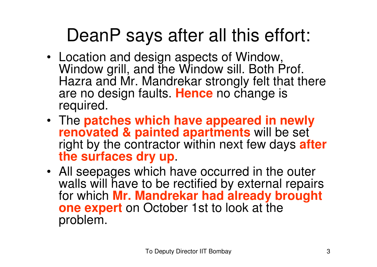## DeanP says after all this effort:

- Location and design aspects of Window, Window grill, and the Window sill. Both Prof. Hazra and Mr. Mandrekar strongly felt that there are no design faults. **Hence** no change is required.
- The **patches which have appeared in newly renovated & painted apartments** will be set right by the contractor within next few days **after the surfaces dry up**.
- All seepages which have occurred in the outer walls will have to be rectified by external repairs for which **Mr. Mandrekar had already brought one expert** on October 1st to look at the problem.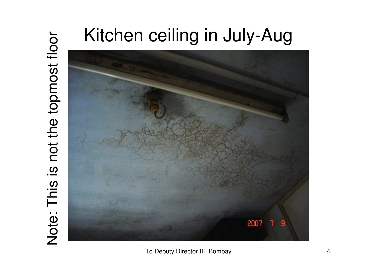# Note: This is not the topmost floor Note: This is not the topmost floor

# Kitchen ceiling in July-Aug



To Deputy Director IIT Bombay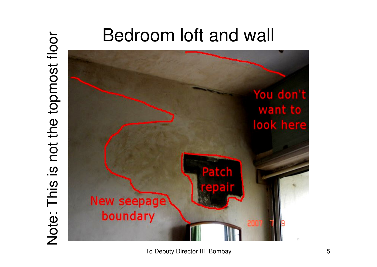## Bedroom loft and wall

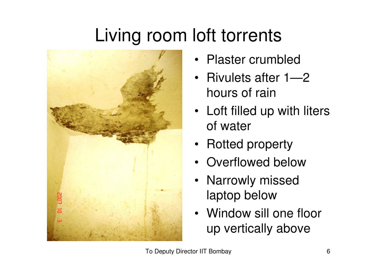# Living room loft torrents



- Plaster crumbled
- Rivulets after 1—2 hours of rain
- Loft filled up with liters of water
- Rotted property
- Overflowed below
- Narrowly missed laptop below
- Window sill one floor up vertically above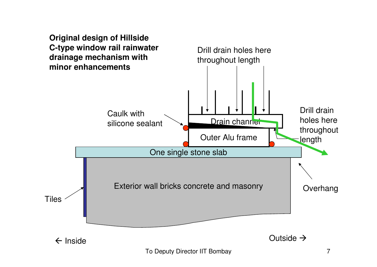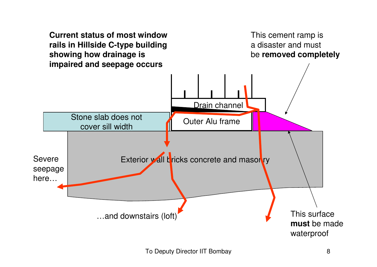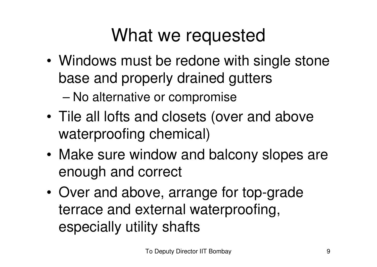#### What we requested

• Windows must be redone with single stone base and properly drained gutters

–No alternative or compromise

- • Tile all lofts and closets (over and above waterproofing chemical)
- • Make sure window and balcony slopes are enough and correct
- • Over and above, arrange for top-grade terrace and external waterproofing, especially utility shafts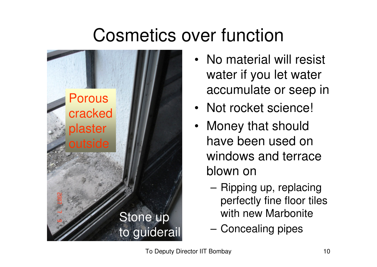## Cosmetics over function



- No material will resist water if you let water accumulate or seep in
- Not rocket science!
- Money that should have been used on windows and terrace blown on
	- – Ripping up, replacing perfectly fine floor tiles with new Marbonite
	- Concealing pipes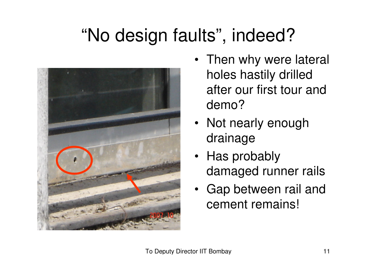## "No design faults", indeed?



- Then why were lateral holes hastily drilled after our first tour and demo?
- Not nearly enough drainage
- Has probably damaged runner rails
- Gap between rail and cement remains!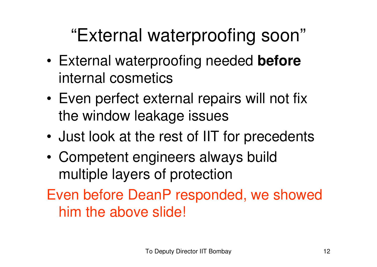## "External waterproofing soon"

- • External waterproofing needed **before**internal cosmetics
- • Even perfect external repairs will not fix the window leakage issues
- •Just look at the rest of IIT for precedents
- • Competent engineers always build multiple layers of protection
- Even before DeanP responded, we showed him the above slide!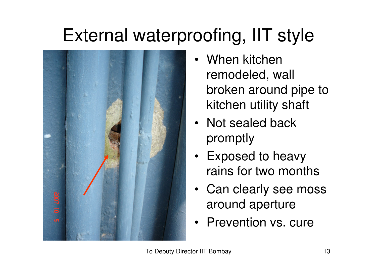# External waterproofing, IIT style



- When kitchen remodeled, wall broken around pipe to kitchen utility shaft
- Not sealed back promptly
- Exposed to heavy rains for two months
- Can clearly see moss around aperture
- Prevention vs. cure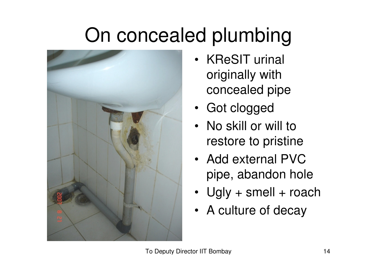# On concealed plumbing



- KReSIT urinal originally with concealed pipe
- Got clogged
- No skill or will to restore to pristine
- Add external PVC pipe, abandon hole
- Ugly + smell + roach
- A culture of decay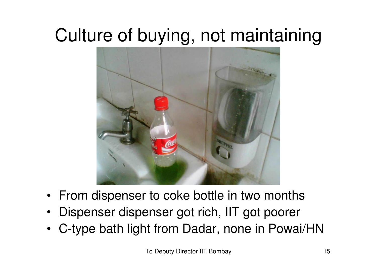## Culture of buying, not maintaining



- $\bullet$ From dispenser to coke bottle in two months
- Dispenser dispenser got rich, IIT got poorer•
- C-type bath light from Dadar, none in Powai/HN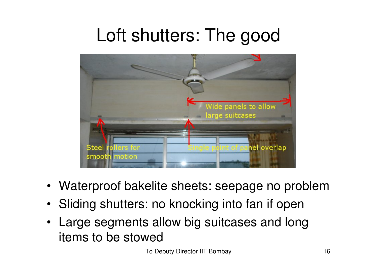#### Loft shutters: The good



- Waterproof bakelite sheets: seepage no problem
- Sliding shutters: no knocking into fan if open
- Large segments allow big suitcases and long items to be stowed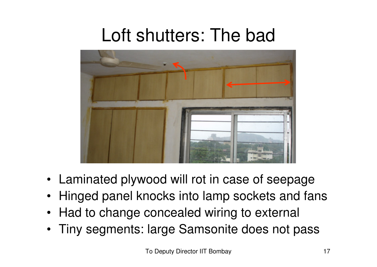#### Loft shutters: The bad



- Laminated plywood will rot in case of seepage
- Hinged panel knocks into lamp sockets and fans
- Had to change concealed wiring to external
- Tiny segments: large Samsonite does not pass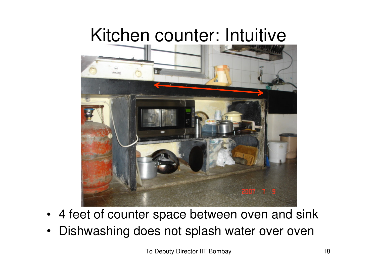#### Kitchen counter: Intuitive



- 4 feet of counter space between oven and sink
- Dishwashing does not splash water over oven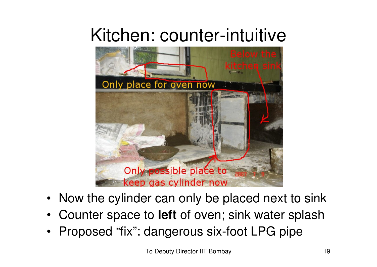#### Kitchen: counter-intuitive



- Now the cylinder can only be placed next to sink
- Counter space to **left** of oven; sink water splash
- •Proposed "fix": dangerous six-foot LPG pipe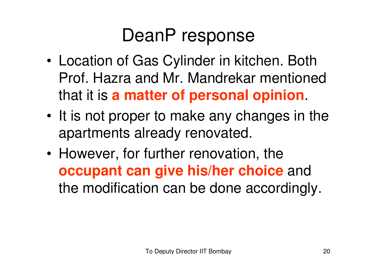## DeanP response

- • Location of Gas Cylinder in kitchen. Both Prof. Hazra and Mr. Mandrekar mentioned that it is **a matter of personal opinion**.
- • It is not proper to make any changes in the apartments already renovated.
- • However, for further renovation, the **occupant can give his/her choice** and the modification can be done accordingly.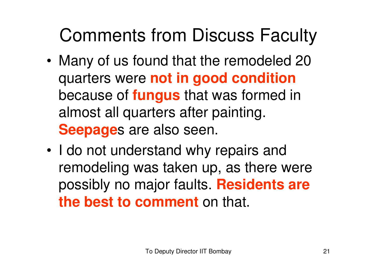- • Many of us found that the remodeled 20 quarters were **not in good condition** because of **fungus** that was formed in almost all quarters after painting. **Seepage**s are also seen.
- • I do not understand why repairs and remodeling was taken up, as there were possibly no major faults. **Residents are the best to comment** on that.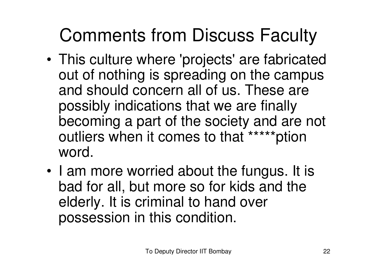- • This culture where 'projects' are fabricated out of nothing is spreading on the campus and should concern all of us. These are possibly indications that we are finally becoming a part of the society and are not outliers when it comes to that \*\*\*\*\*ption word.
- • I am more worried about the fungus. It is bad for all, but more so for kids and the elderly. It is criminal to hand over possession in this condition.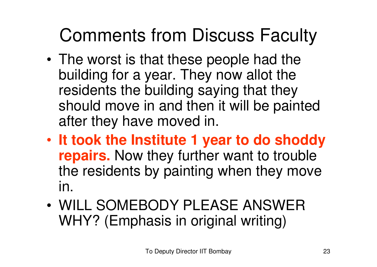- • The worst is that these people had the building for a year. They now allot the residents the building saying that they should move in and then it will be painted after they have moved in.
- • **It took the Institute 1 year to do shoddy repairs.** Now they further want to trouble the residents by painting when they move in.
- • WILL SOMEBODY PLEASE ANSWER WHY? (Emphasis in original writing)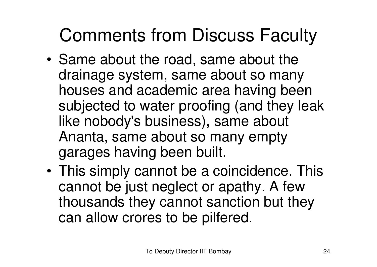- • Same about the road, same about the drainage system, same about so many houses and academic area having been subjected to water proofing (and they leak like nobody's business), same about Ananta, same about so many empty garages having been built.
- • This simply cannot be a coincidence. This cannot be just neglect or apathy. A few thousands they cannot sanction but they can allow crores to be pilfered.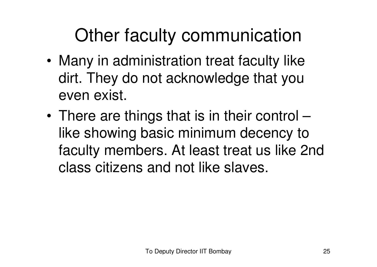## Other faculty communication

- • Many in administration treat faculty like dirt. They do not acknowledge that you even exist.
- • There are things that is in their control – like showing basic minimum decency to faculty members. At least treat us like 2nd class citizens and not like slaves.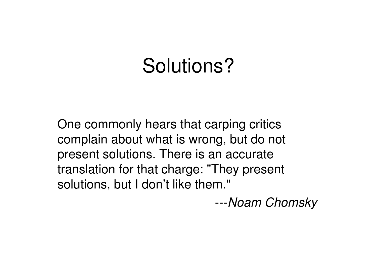# Solutions?

One commonly hears that carping critics complain about what is wrong, but do not present solutions. There is an accurate translation for that charge: "They present solutions, but I don't like them."<br>---Noam Chomsky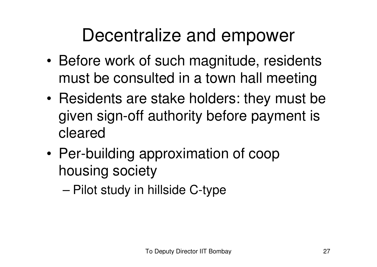## Decentralize and empower

- • Before work of such magnitude, residents must be consulted in a town hall meeting
- • Residents are stake holders: they must be given sign-off authority before payment is cleared
- • Per-building approximation of coop housing society
	- –Pilot study in hillside C-type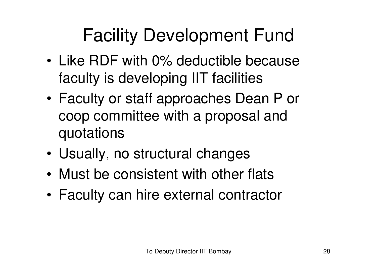# Facility Development Fund

- • Like RDF with 0% deductible because faculty is developing IIT facilities
- • Faculty or staff approaches Dean P or coop committee with a proposal and quotations
- •Usually, no structural changes
- •Must be consistent with other flats
- •Faculty can hire external contractor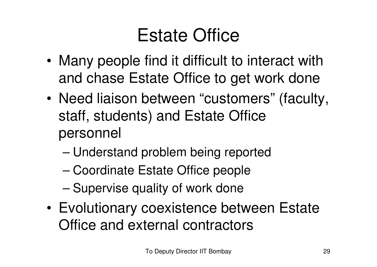## Estate Office

- • Many people find it difficult to interact with and chase Estate Office to get work done
- • Need liaison between "customers" (faculty, staff, students) and Estate Office personnel
	- –Understand problem being reported
	- –Coordinate Estate Office people
	- –Supervise quality of work done
- • Evolutionary coexistence between Estate Office and external contractors